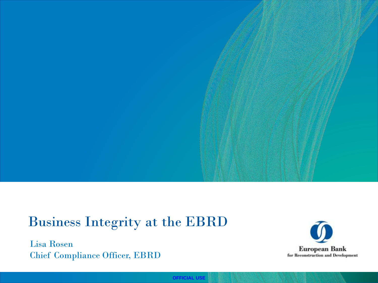## Business Integrity at the EBRD

Lisa Rosen Chief Compliance Officer, EBRD



**OFFICIAL USE**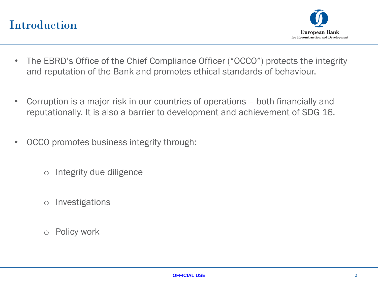## Introduction



- The EBRD's Office of the Chief Compliance Officer ("OCCO") protects the integrity and reputation of the Bank and promotes ethical standards of behaviour.
- Corruption is a major risk in our countries of operations both financially and reputationally. It is also a barrier to development and achievement of SDG 16.
- OCCO promotes business integrity through:
	- o Integrity due diligence
	- o Investigations
	- o Policy work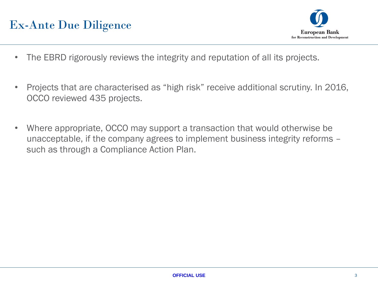## Ex-Ante Due Diligence



- The EBRD rigorously reviews the integrity and reputation of all its projects.
- Projects that are characterised as "high risk" receive additional scrutiny. In 2016, OCCO reviewed 435 projects.
- Where appropriate, OCCO may support a transaction that would otherwise be unacceptable, if the company agrees to implement business integrity reforms – such as through a Compliance Action Plan.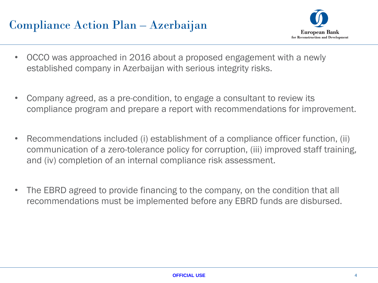## Compliance Action Plan – Azerbaijan



- OCCO was approached in 2016 about a proposed engagement with a newly established company in Azerbaijan with serious integrity risks.
- Company agreed, as a pre-condition, to engage a consultant to review its compliance program and prepare a report with recommendations for improvement.
- Recommendations included (i) establishment of a compliance officer function, (ii) communication of a zero-tolerance policy for corruption, (iii) improved staff training, and (iv) completion of an internal compliance risk assessment.
- The EBRD agreed to provide financing to the company, on the condition that all recommendations must be implemented before any EBRD funds are disbursed.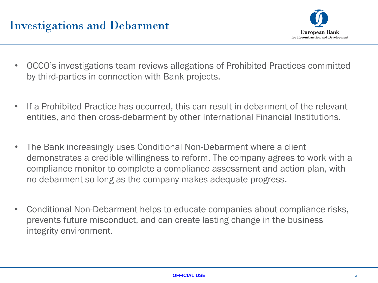

- OCCO's investigations team reviews allegations of Prohibited Practices committed by third-parties in connection with Bank projects.
- If a Prohibited Practice has occurred, this can result in debarment of the relevant entities, and then cross-debarment by other International Financial Institutions.
- The Bank increasingly uses Conditional Non-Debarment where a client demonstrates a credible willingness to reform. The company agrees to work with a compliance monitor to complete a compliance assessment and action plan, with no debarment so long as the company makes adequate progress.
- Conditional Non-Debarment helps to educate companies about compliance risks, prevents future misconduct, and can create lasting change in the business integrity environment.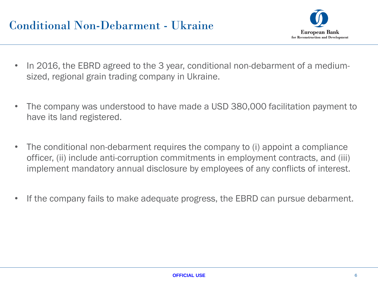

- In 2016, the EBRD agreed to the 3 year, conditional non-debarment of a mediumsized, regional grain trading company in Ukraine.
- The company was understood to have made a USD 380,000 facilitation payment to have its land registered.
- The conditional non-debarment requires the company to (i) appoint a compliance officer, (ii) include anti-corruption commitments in employment contracts, and (iii) implement mandatory annual disclosure by employees of any conflicts of interest.
- If the company fails to make adequate progress, the EBRD can pursue debarment.